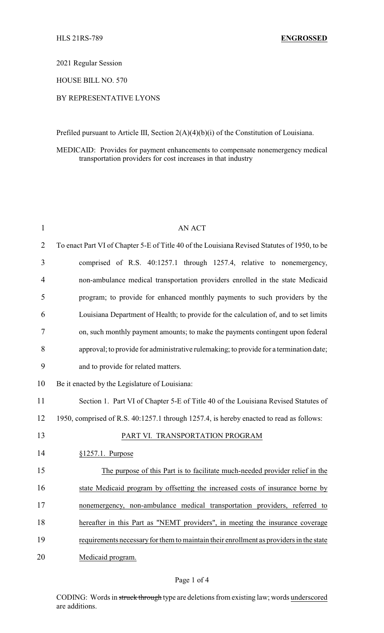2021 Regular Session

HOUSE BILL NO. 570

## BY REPRESENTATIVE LYONS

Prefiled pursuant to Article III, Section 2(A)(4)(b)(i) of the Constitution of Louisiana.

MEDICAID: Provides for payment enhancements to compensate nonemergency medical transportation providers for cost increases in that industry

| $\mathbf{1}$   | <b>AN ACT</b>                                                                                |
|----------------|----------------------------------------------------------------------------------------------|
| $\overline{2}$ | To enact Part VI of Chapter 5-E of Title 40 of the Louisiana Revised Statutes of 1950, to be |
| 3              | comprised of R.S. 40:1257.1 through 1257.4, relative to nonemergency,                        |
| $\overline{4}$ | non-ambulance medical transportation providers enrolled in the state Medicaid                |
| 5              | program; to provide for enhanced monthly payments to such providers by the                   |
| 6              | Louisiana Department of Health; to provide for the calculation of, and to set limits         |
| 7              | on, such monthly payment amounts; to make the payments contingent upon federal               |
| 8              | approval; to provide for administrative rulemaking; to provide for a termination date;       |
| 9              | and to provide for related matters.                                                          |
| 10             | Be it enacted by the Legislature of Louisiana:                                               |
| 11             | Section 1. Part VI of Chapter 5-E of Title 40 of the Louisiana Revised Statutes of           |
| 12             | 1950, comprised of R.S. 40:1257.1 through 1257.4, is hereby enacted to read as follows:      |
| 13             | PART VI. TRANSPORTATION PROGRAM                                                              |
| 14             | $§1257.1$ . Purpose                                                                          |
| 15             | The purpose of this Part is to facilitate much-needed provider relief in the                 |
| 16             | state Medicaid program by offsetting the increased costs of insurance borne by               |
| 17             | nonemergency, non-ambulance medical transportation providers, referred to                    |
| 18             | hereafter in this Part as "NEMT providers", in meeting the insurance coverage                |
| 19             | requirements necessary for them to maintain their enrollment as providers in the state       |
| 20             | Medicaid program.                                                                            |

## Page 1 of 4

CODING: Words in struck through type are deletions from existing law; words underscored are additions.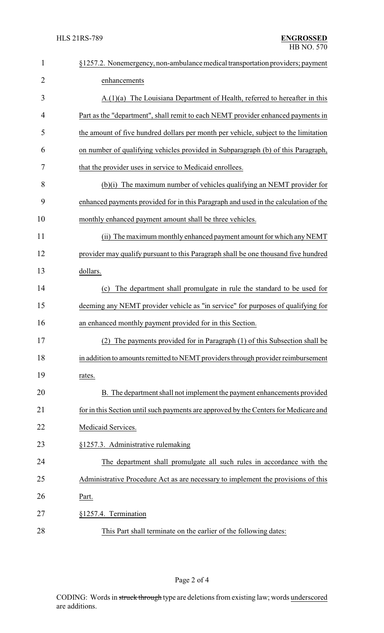| $\mathbf{1}$   | §1257.2. Nonemergency, non-ambulance medical transportation providers; payment       |  |  |
|----------------|--------------------------------------------------------------------------------------|--|--|
| $\overline{2}$ | enhancements                                                                         |  |  |
| 3              | $A(1)(a)$ The Louisiana Department of Health, referred to hereafter in this          |  |  |
| 4              | Part as the "department", shall remit to each NEMT provider enhanced payments in     |  |  |
| 5              | the amount of five hundred dollars per month per vehicle, subject to the limitation  |  |  |
| 6              | on number of qualifying vehicles provided in Subparagraph (b) of this Paragraph,     |  |  |
| 7              | that the provider uses in service to Medicaid enrollees.                             |  |  |
| 8              | (b)(i) The maximum number of vehicles qualifying an NEMT provider for                |  |  |
| 9              | enhanced payments provided for in this Paragraph and used in the calculation of the  |  |  |
| 10             | monthly enhanced payment amount shall be three vehicles.                             |  |  |
| 11             | (ii) The maximum monthly enhanced payment amount for which any NEMT                  |  |  |
| 12             | provider may qualify pursuant to this Paragraph shall be one thousand five hundred   |  |  |
| 13             | dollars.                                                                             |  |  |
| 14             | The department shall promulgate in rule the standard to be used for<br>(c)           |  |  |
| 15             | deeming any NEMT provider vehicle as "in service" for purposes of qualifying for     |  |  |
| 16             | an enhanced monthly payment provided for in this Section.                            |  |  |
| 17             | (2) The payments provided for in Paragraph (1) of this Subsection shall be           |  |  |
| 18             | in addition to amounts remitted to NEMT providers through provider reimbursement     |  |  |
| 19             | rates.                                                                               |  |  |
| 20             | B. The department shall not implement the payment enhancements provided              |  |  |
| 21             | for in this Section until such payments are approved by the Centers for Medicare and |  |  |
| 22             | Medicaid Services.                                                                   |  |  |
| 23             | §1257.3. Administrative rulemaking                                                   |  |  |
| 24             | The department shall promulgate all such rules in accordance with the                |  |  |
| 25             | Administrative Procedure Act as are necessary to implement the provisions of this    |  |  |
| 26             | Part.                                                                                |  |  |
| 27             | §1257.4. Termination                                                                 |  |  |
| 28             | This Part shall terminate on the earlier of the following dates:                     |  |  |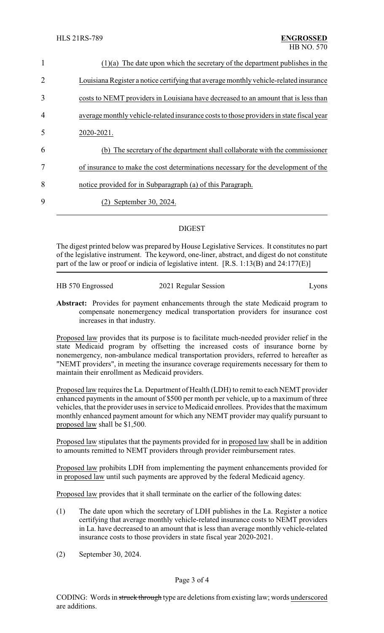| $\mathbf{1}$   | $(1)(a)$ The date upon which the secretary of the department publishes in the           |  |  |
|----------------|-----------------------------------------------------------------------------------------|--|--|
| 2              | Louisiana Register a notice certifying that average monthly vehicle-related insurance   |  |  |
| 3              | costs to NEMT providers in Louisiana have decreased to an amount that is less than      |  |  |
| $\overline{4}$ | average monthly vehicle-related insurance costs to those providers in state fiscal year |  |  |
| 5              | 2020-2021.                                                                              |  |  |
| 6              | (b) The secretary of the department shall collaborate with the commissioner             |  |  |
| 7              | of insurance to make the cost determinations necessary for the development of the       |  |  |
| 8              | notice provided for in Subparagraph (a) of this Paragraph.                              |  |  |
| 9              | September 30, 2024.                                                                     |  |  |

## DIGEST

The digest printed below was prepared by House Legislative Services. It constitutes no part of the legislative instrument. The keyword, one-liner, abstract, and digest do not constitute part of the law or proof or indicia of legislative intent.  $[R.S. 1:13(B)$  and  $24:177(E)]$ 

| HB 570 Engrossed | 2021 Regular Session | Lyons |
|------------------|----------------------|-------|
|                  |                      |       |

**Abstract:** Provides for payment enhancements through the state Medicaid program to compensate nonemergency medical transportation providers for insurance cost increases in that industry.

Proposed law provides that its purpose is to facilitate much-needed provider relief in the state Medicaid program by offsetting the increased costs of insurance borne by nonemergency, non-ambulance medical transportation providers, referred to hereafter as "NEMT providers", in meeting the insurance coverage requirements necessary for them to maintain their enrollment as Medicaid providers.

Proposed law requires the La. Department of Health (LDH) to remit to each NEMT provider enhanced payments in the amount of \$500 per month per vehicle, up to a maximum of three vehicles, that the provider uses in service to Medicaid enrollees. Provides that the maximum monthly enhanced payment amount for which any NEMT provider may qualify pursuant to proposed law shall be \$1,500.

Proposed law stipulates that the payments provided for in proposed law shall be in addition to amounts remitted to NEMT providers through provider reimbursement rates.

Proposed law prohibits LDH from implementing the payment enhancements provided for in proposed law until such payments are approved by the federal Medicaid agency.

Proposed law provides that it shall terminate on the earlier of the following dates:

- (1) The date upon which the secretary of LDH publishes in the La. Register a notice certifying that average monthly vehicle-related insurance costs to NEMT providers in La. have decreased to an amount that is less than average monthly vehicle-related insurance costs to those providers in state fiscal year 2020-2021.
- (2) September 30, 2024.